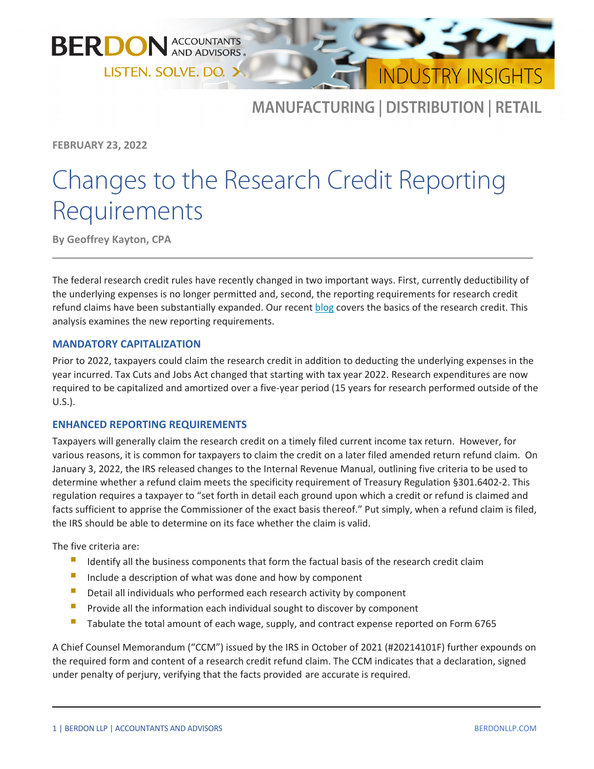



# MANUFACTURING | DISTRIBUTION | RETAIL

**FEBRUARY 23, 2022**

# Changes to the Research Credit Reporting Requirements

**By Geoffrey Kayton, CPA**

The federal research credit rules have recently changed in two important ways. First, currently deductibility of the underlying expenses is no longer permitted and, second, the reporting requirements for research credit refund claims have been substantially expanded. Our recent [blog](https://www.berdonllp.com/research-credit-and-software-development/) covers the basics of the research credit. This analysis examines the new reporting requirements.

## **MANDATORY CAPITALIZATION**

Prior to 2022, taxpayers could claim the research credit in addition to deducting the underlying expenses in the year incurred. Tax Cuts and Jobs Act changed that starting with tax year 2022. Research expenditures are now required to be capitalized and amortized over a five-year period (15 years for research performed outside of the U.S.).

## **ENHANCED REPORTING REQUIREMENTS**

Taxpayers will generally claim the research credit on a timely filed current income tax return. However, for various reasons, it is common for taxpayers to claim the credit on a later filed amended return refund claim. On January 3, 2022, the IRS released changes to the Internal Revenue Manual, outlining five criteria to be used to determine whether a refund claim meets the specificity requirement of Treasury Regulation §301.6402-2. This regulation requires a taxpayer to "set forth in detail each ground upon which a credit or refund is claimed and facts sufficient to apprise the Commissioner of the exact basis thereof." Put simply, when a refund claim is filed, the IRS should be able to determine on its face whether the claim is valid.

The five criteria are:

- I Identify all the business components that form the factual basis of the research credit claim
- Include <sup>a</sup> description of what was done and how by component
- Detail all individuals who performed each research activity by component
- **Provide all the information each individual sought to discover by component**
- Tabulate the total amount of each wage, supply, and contract expense reported on Form 6765

A Chief Counsel Memorandum ("CCM") issued by the IRS in October of 2021 (#20214101F) further expounds on the required form and content of a research credit refund claim. The CCM indicates that a declaration, signed under penalty of perjury, verifying that the facts provided are accurate is required.